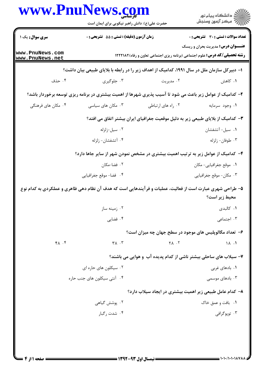|                                    | حضرت علی(ع): دانش راهبر نیکویی برای ایمان است                                                                                 | www.PnuNews.com    | ڪ دانشڪاه پيام نور<br>ر∕ = مرڪز آزمون وسنڊش                      |
|------------------------------------|-------------------------------------------------------------------------------------------------------------------------------|--------------------|------------------------------------------------------------------|
| <b>سری سوال :</b> یک ۱             | زمان آزمون (دقیقه) : تستی : 55 تشریحی : 0                                                                                     |                    | <b>تعداد سوالات : تستی : 30 ٪ تشریحی : 0</b>                     |
| www.PnuNews.com<br>www.PnuNews.net | <b>عنـــوان درس:</b> مدیریت بحران و ریسک<br><b>رشته تحصیلی/کد درس:</b> علوم اجتماعی (برنامه ریزی اجتماعی تعاون و رفاه)1۲۲۲۱۸۲ |                    |                                                                  |
|                                    | ا– دبیرکل سازمان ملل در سال ۱۹۹۱، کدامیک از اهداف زیر را در رابطه با بلایای طبیعی بیان داشت؟                                  |                    |                                                                  |
| ۰۴ حذف                             | ۰۳ جلوگیری                                                                                                                    | ۰۲ مدیریت          | ۰۱ کاهش                                                          |
|                                    | ۲- کدامیک از عوامل زیر باعث می شود تا آسیب پذیری شهرها از اهمیت بیشتری در برنامه ریزی توسعه برخوردار باشد؟                    |                    |                                                                  |
| ۰۴ مکان های فرهنگی                 | ۰۳ مکان های سیاسی                                                                                                             | ۰۲ راه های ارتباطی | ۰۱ وجود سرمايه                                                   |
|                                    | ۳– کدامیک از بلایای طبیعی زیر به دلیل موقعیت جغرافیای ایران بیشتر اتفاق می افتد؟                                              |                    |                                                                  |
|                                    | ۰۲ سیل-زلزله                                                                                                                  |                    | ٠١ سيل- آتشفشان                                                  |
|                                    | ۰۴ آتشفشان- زلزله                                                                                                             |                    | ۰۳ طوفان- زلزله                                                  |
|                                    | ۴- کدامیک از عوامل زیر به ترتیب اهمیت بیشتری در مشخص نمودن شهر از سایر جاها دارد؟                                             |                    |                                                                  |
|                                    | ۰۲ فضا-مکان                                                                                                                   |                    | ۰۱ موقع جغرافیایی- مکان                                          |
|                                    | ۴. فضا- موقع جغرافيايي                                                                                                        |                    | ۰۳ مکان- موقع جغرافیایی                                          |
|                                    | ۵– طراحی شهری عبارت است از فعالیت، عملیات و فرآیندهایی است که هدف آن نظام دهی ظاهری و عملکردی به کدام نوع                     |                    | محيط زير است؟                                                    |
|                                    | ۰۲ زمینه ساز                                                                                                                  |                    | ٠١ كالبدى                                                        |
|                                    | ۰۴ فضایی                                                                                                                      |                    | ۰۳ اجتماعی                                                       |
|                                    |                                                                                                                               |                    | ۶–  تعداد مگالویلیس های موجود در سطح جهان چه میزان است؟          |
| $Y \wedge T$                       | $\mathsf{r}_{\mathsf{A}}$ . $\mathsf{r}$                                                                                      | $Y \wedge \cdot Y$ | 11.1                                                             |
|                                    |                                                                                                                               |                    | ۷- سیلاب های ساحلی بیشتر ناشی از کدام پدیده آب و هوایی می باشند؟ |
|                                    | ۰۲ سیکلون های حاره ای                                                                                                         |                    | ۰۱ بادهای غربی                                                   |
|                                    | ۰۴ آنتی سیکلون های جنب حاره                                                                                                   |                    | ۰۳ بادهای موسمی                                                  |
|                                    |                                                                                                                               |                    | ۸– کدام عامل طبیعی زیر اهمیت بیشتری در ایجاد سیلاب دارد؟         |
|                                    | ۰۲ پوشش گیاهی                                                                                                                 |                    | ۰۱ بافت و عمق خاک                                                |
|                                    | ۰۴ شدت , گبا,                                                                                                                 |                    | ۰۳ توپوگرافی                                                     |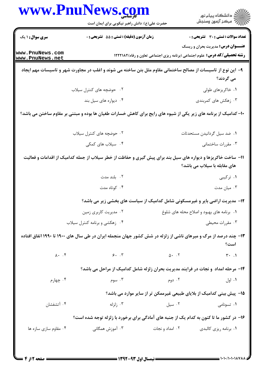|                                    | حضرت علی(ع): دانش راهبر نیکویی برای ایمان است                                                                    |                                           | ر<br>دانشڪاه پيام نور)<br>سرڪز آزمون وسنڊش                                                                                    |
|------------------------------------|------------------------------------------------------------------------------------------------------------------|-------------------------------------------|-------------------------------------------------------------------------------------------------------------------------------|
| <b>سری سوال : ۱ یک</b>             | زمان آزمون (دقیقه) : تستی : 55 ٪ تشریحی : 0                                                                      |                                           | <b>تعداد سوالات : تستی : 30 ٪ تشریحی : 0</b>                                                                                  |
| www.PnuNews.com<br>www.PnuNews.net |                                                                                                                  |                                           | <b>عنـــوان درس:</b> مدیریت بحران و ریسک<br><b>رشته تحصیلی/کد درس:</b> علوم اجتماعی (برنامه ریزی اجتماعی تعاون و رفاه)۱۲۲۲۱۸۲ |
|                                    | ۹– این نوع از تاسیسات از مصالح ساختمانی مقاوم مثل بتن ساخته می شوند و اغلب در مجاورت شهر و تاسیسات مهم ایجاد     |                                           | می گردند؟                                                                                                                     |
|                                    | ۰۲ حوضچه های کنترل سیلاب                                                                                         |                                           | ۰۱ خاکریزهای طولی                                                                                                             |
|                                    | ۰۴ دیواره های سیل بند                                                                                            |                                           | ۰۳ زهکش های کمربندی                                                                                                           |
|                                    | ۱۰– کدامیک از برنامه های زیر یکی از شیوه های رایج برای کاهش خسارات طغیان ها بوده و مبتنی بر مقاوم ساختن می باشد؟ |                                           |                                                                                                                               |
|                                    | ۰۲ حوضچه های کنترل سیلاب                                                                                         |                                           | ۰۱ ضد سیل گردانیدن مستحدثات                                                                                                   |
|                                    | ۰۴ سیلاب های کمکی                                                                                                |                                           | ۰۳ مقررات ساختمانی                                                                                                            |
|                                    | ۱۱– ساخت خاکریزها و دیواره های سیل بند برای پیش گیری و حفاظت از خطر سیلاب از جمله کدامیک از اقدامات و فعالیت     |                                           | های مقابله با سیلاب می باشد؟                                                                                                  |
|                                    | ۰۲ بلند مدت                                                                                                      |                                           | ۰۱ ترکیبی                                                                                                                     |
|                                    | ۰۴ کوتاه مدت                                                                                                     |                                           | ۰۳ میان مدت                                                                                                                   |
|                                    | <b>۱۲</b> - مدیریت اراضی بایر و غیرمسکونی شامل کدامیک از سیاست های بخشی زیر می باشد؟                             |                                           |                                                                                                                               |
|                                    | ۰۲ مدیریت کاربری زمین                                                                                            | ۰۱ برنامه های بهبود و اصلاح محله های شلوغ |                                                                                                                               |
|                                    | ۰۴ زهکشی و برنامه کنترل سیلاب                                                                                    | ۰۳ مقررات محیطی                           |                                                                                                                               |
|                                    | ۱۳- چند درصد از مرگ و میرهای ناشی از زلزله در شش کشور جهان منجمله ایران در طی سال های ۱۹۰۰ تا ۱۹۹۰ اتفاق افتاده  |                                           | است؟                                                                                                                          |
| $\lambda \cdot \cdot \cdot f$      | 9.7                                                                                                              | $\Delta$ . T                              | $\mathbf{r}$ . 1                                                                                                              |
|                                    | ۱۴- مرحله امداد و نجات در فرایند مدیریت بحران زلزله شامل کدامیک از مراحل می باشد؟                                |                                           |                                                                                                                               |
| ۰۴ چهارم                           | ۰۳ سوم                                                                                                           | ۰۲ دوم                                    | ۰۱ اول                                                                                                                        |
|                                    |                                                                                                                  |                                           | ۱۵– پیش بینی کدامیک از بلایای طبیعی غیرممکن تر از سایر موارد می باشد؟                                                         |
| ۰۴ آتشفشان                         | ۰۳ زلزله                                                                                                         | ۰۲ سیل                                    | ۰۱ تسونامی                                                                                                                    |
|                                    |                                                                                                                  |                                           |                                                                                                                               |
|                                    | ۱۶– در کشور ما تا کنون به کدام یک از جنبه های آمادگی برای برخورد با زلزله توجه شده است؟                          |                                           |                                                                                                                               |

**: صفحه 2از 4 =**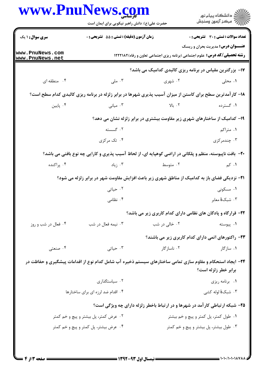|                                    | حضرت علی(ع): دانش راهبر نیکویی برای ایمان است                                                              |                                                                              | ر<br>دانشڪاه پيام نور)<br>سرڪز آزمون وسنڊش                                                                                    |  |
|------------------------------------|------------------------------------------------------------------------------------------------------------|------------------------------------------------------------------------------|-------------------------------------------------------------------------------------------------------------------------------|--|
| سری سوال: ۱ یک                     | زمان آزمون (دقیقه) : تستی : 55 آتشریحی : 0                                                                 |                                                                              | <b>تعداد سوالات : تستي : 30 - تشريحي : 0</b>                                                                                  |  |
| www.PnuNews.com<br>www.PnuNews.net |                                                                                                            |                                                                              | <b>عنـــوان درس:</b> مدیریت بحران و ریسک<br><b>رشته تحصیلی/کد درس:</b> علوم اجتماعی (برنامه ریزی اجتماعی تعاون و رفاه)۱۲۲۲۱۸۲ |  |
|                                    |                                                                                                            | <b>۱۷- بزرگترین مقیاس در برنامه ریزی کالبدی کدامیک می باشد؟</b>              |                                                                                                                               |  |
| ۰۴ منطقه ای                        | ۰۳ ملی                                                                                                     | ۰۲ شهری                                                                      | ۰۱ محلی                                                                                                                       |  |
|                                    | ۱۸– کارآمدترین سطح برای کاستن از میزان آسیب پذیری شهرها در برابر زلزله در برنامه ریزی کالبدی کدام سطح است؟ |                                                                              |                                                                                                                               |  |
| ۰۴ پایین                           | ۰۳ میانی                                                                                                   | ۲. بالا                                                                      | ۱. گسترده                                                                                                                     |  |
|                                    |                                                                                                            | ۱۹- کدامیک از ساختارهای شهری زیر مقاومت بیشتری در برابر زلزله نشان می دهد؟   |                                                                                                                               |  |
|                                    | ۰۲ گسسته                                                                                                   |                                                                              | ۰۱ متراکم                                                                                                                     |  |
|                                    | ۰۴ تک مرکزی                                                                                                |                                                                              | ۰۳ چندمرکزی                                                                                                                   |  |
|                                    | +۲- بافت ناپیوسته، منظم و پلکانی در اراضی کوهپایه ای، از لحاظ آسیب پذیری و کارایی چه نوع بافتی می باشد؟    |                                                                              |                                                                                                                               |  |
| ۰۴ پراکنده                         | ۰۳ زیاد                                                                                                    | ۰۲ متوسط                                                                     | <b>۱</b> . کم                                                                                                                 |  |
|                                    | <b>۲۱</b> - نزدیکی فضای باز به کدامیک از مناطق شهری زیر باعث افزایش مقاومت شهر در برابر زلزله می شود؟      |                                                                              |                                                                                                                               |  |
|                                    | ۰۲ حیاتی                                                                                                   |                                                                              | ۰۱ مسکونی                                                                                                                     |  |
|                                    | ۰۴ نظامی                                                                                                   |                                                                              | ۰۳ شبکهٔ معابر                                                                                                                |  |
|                                    |                                                                                                            | ۲۲- قرارگاه و پادگان های نظامی دارای کدام کاربری زیر می باشد؟                |                                                                                                                               |  |
| ۰۴ فعال در شب و روز                | ۰۳ نیمه فعال در شب                                                                                         | ۰۲ خالي در شب                                                                | ۰۱ پیوسته                                                                                                                     |  |
|                                    |                                                                                                            | ۲۳- راکتورهای اتمی دارای کدام کاربری زیر می باشند؟                           |                                                                                                                               |  |
| ۰۴ صنعتبی                          | ۰۳ حیاتی                                                                                                   | ۰۲ ناسازگار                                                                  | ۰۱ سازگار                                                                                                                     |  |
|                                    | ۲۴- ایجاد استحکام و مقاوم سازی تمامی ساختارهای سیستم ذخیره آب شامل کدام نوع از اقدامات پیشگیری و حفاظت در  |                                                                              |                                                                                                                               |  |
|                                    |                                                                                                            |                                                                              | برابر خطر زلزله است؟                                                                                                          |  |
|                                    | ۰۲ سیاستگذاری                                                                                              |                                                                              | ٠١. برنامه ريزي                                                                                                               |  |
|                                    | ۰۴ اقدام ضد لرزه ای برای ساختارها                                                                          |                                                                              | ۰۳ شبکهٔ لوله کشی                                                                                                             |  |
|                                    |                                                                                                            | ۲۵- شبکه ارتباطی کارآمد در شهرها و در ارتباط باخطر زلزله دارای چه ویژگی است؟ |                                                                                                                               |  |
|                                    | ۰۲ عرض کمتر، پل بیشتر و پیچ و خم کمتر                                                                      |                                                                              | ۰۱ طول کمتر، پل کمتر و پیچ و خم بیشتر                                                                                         |  |
|                                    | ۰۴ عرض بیشتر، پل کمتر و پیچ و خم کمتر                                                                      |                                                                              | ۰۳ طول بیشتر، پل بیشتر و پیچ و خم کمتر                                                                                        |  |